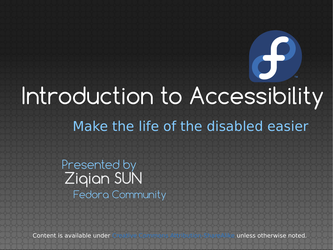### Make the life of the disabled easier Introduction to Accessibility

Ziqian SUN Presented by Fedora Community

Content is available under [Creative Commons Attribution-ShareAlike](http://creativecommons.org/licenses/by-sa/3.0/) unless otherwise noted.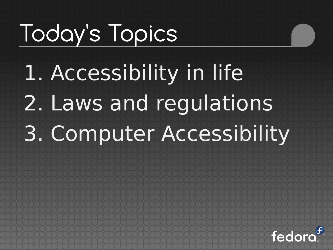## Today's Topics

1. Accessibility in life 2. Laws and regulations 3. Computer Accessibility

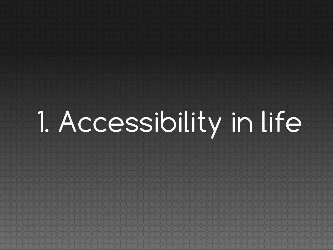1. Accessibility in life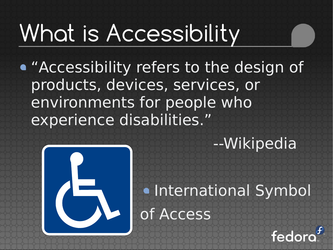## What is Accessibility

"Accessibility refers to the design of products, devices, services, or environments for people who experience disabilities."



#### --Wikipedia

#### **.** International Symbol of Access

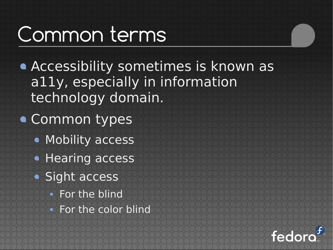#### Common terms

- Accessibility sometimes is known as a11y, especially in information technology domain.
- Common types
	- Mobility access
	- **Hearing access**
	- Sight access
		- For the blind
		- For the color blind

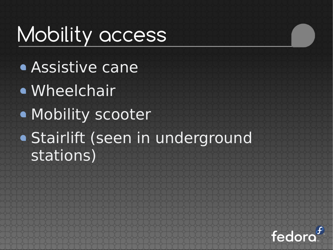#### Mobility access

- Assistive cane
- Wheelchair
- Mobility scooter
- Stairlift (seen in underground stations)

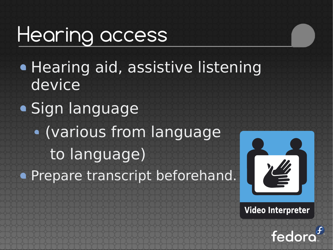#### Hearing access

- **Hearing aid, assistive listening** device
- Sign language (various from language to language)

**• Prepare transcript beforehand.** 



**Video Interpreter** 

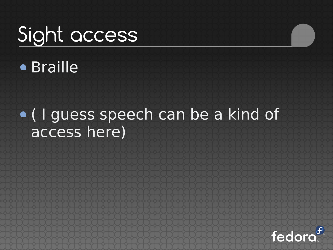### Sight access

#### Braille

#### ( I guess speech can be a kind of access here)

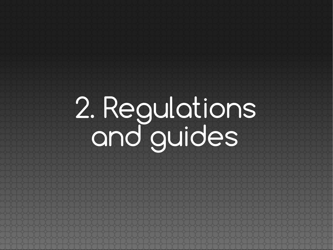## 2. Regulations and guides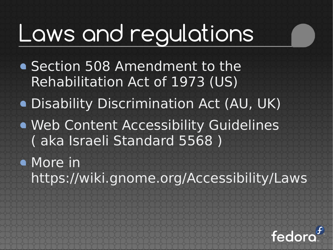### Laws and regulations

- **Section 508 Amendment to the** Rehabilitation Act of 1973 (US)
- Disability Discrimination Act (AU, UK)
- Web Content Accessibility Guidelines ( aka Israeli Standard 5568 )
- More in https://wiki.gnome.org/Accessibility/Laws

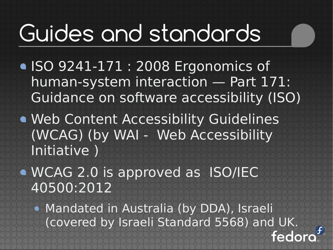### Guides and standards

- ISO 9241-171 : 2008 Ergonomics of human-system interaction — Part 171: Guidance on software accessibility (ISO)
- Web Content Accessibility Guidelines (WCAG) (by WAI - Web Accessibility Initiative )
- WCAG 2.0 is approved as ISO/IEC 40500:2012
	- Mandated in Australia (by DDA), Israeli (covered by Israeli Standard 5568) and UK. fedor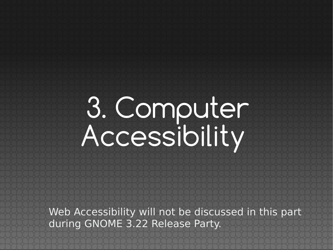## 3. Computer Accessibility

Web Accessibility will not be discussed in this part during GNOME 3.22 Release Party.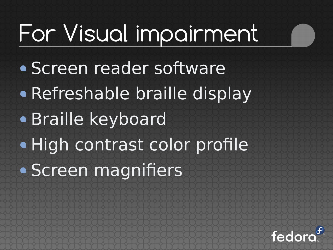## For Visual impairment

Screen reader software • Refreshable braille display Braille keyboard · High contrast color profile Screen magnifiers

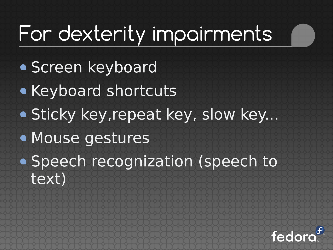#### For dexterity impairments

- **Screen keyboard**
- **Keyboard shortcuts**
- Sticky key, repeat key, slow key...
- Mouse gestures
- Speech recognization (speech to text)

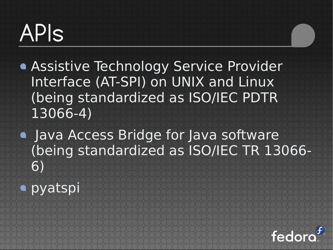### APIs

- **Assistive Technology Service Provider** Interface (AT-SPI) on UNIX and Linux (being standardized as ISO/IEC PDTR 13066-4)
- Java Access Bridge for Java software (being standardized as ISO/IEC TR 13066- 6)
- pyatspi

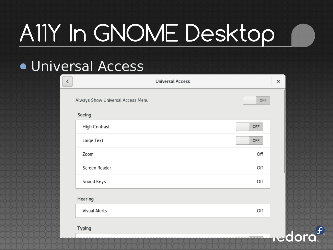## A11Y In GNOME Desktop

#### **• Universal Access**

| ⟨ | <b>Universal Access</b>                  | × |
|---|------------------------------------------|---|
|   | Always Show Universal Access Menu<br>OFF |   |
|   | Seeing                                   |   |
|   | High Contrast<br>OFF                     |   |
|   | Large Text<br>OFF                        |   |
|   | Zoom<br>Off                              |   |
|   | Screen Reader<br>Off                     |   |
|   | Sound Keys<br>Off                        |   |
|   | Hearing                                  |   |
|   | Visual Alerts<br>Off                     |   |
|   | <b>Typing</b>                            |   |
|   |                                          |   |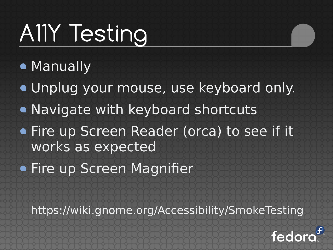## A11Y Testing

- **Manually**
- Unplug your mouse, use keyboard only.
- Navigate with keyboard shortcuts
- **Fire up Screen Reader (orca) to see if it** works as expected
- **Fire up Screen Magnifier**

https://wiki.gnome.org/Accessibility/SmokeTesting

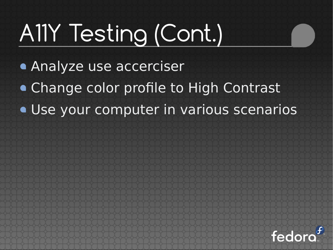## A11Y Testing (Cont.)

- Analyze use accerciser
- Change color profile to High Contrast
- Use your computer in various scenarios

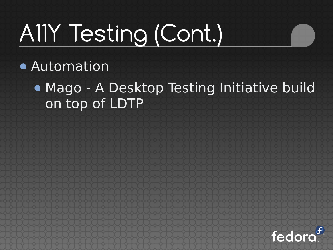## A11Y Testing (Cont.)

Automation

Mago - A Desktop Testing Initiative build on top of LDTP

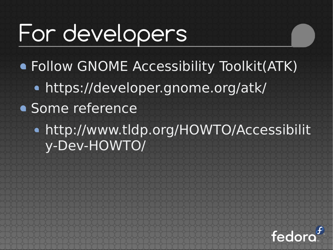### For developers

Follow GNOME Accessibility Toolkit(ATK) https://developer.gnome.org/atk/

- Some reference
	- http://www.tldp.org/HOWTO/Accessibilit y-Dev-HOWTO/